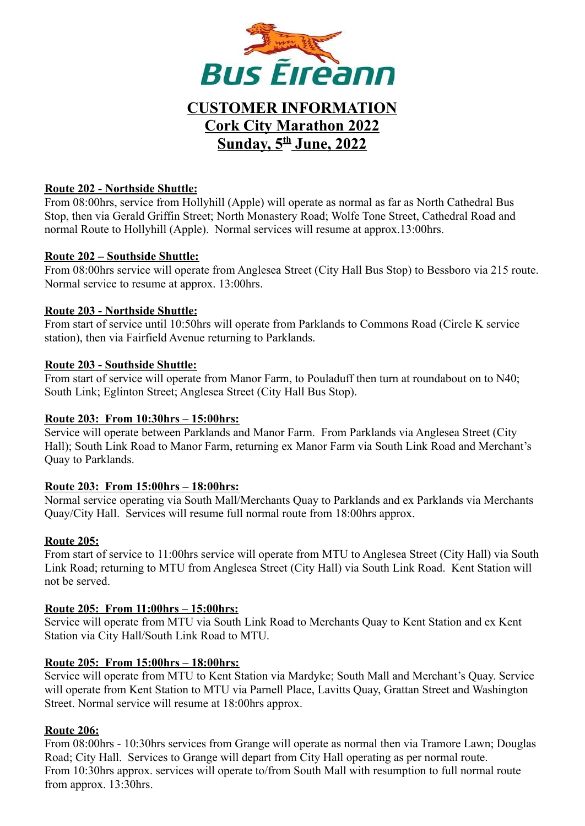

# **CUSTOMER INFORMATION Cork City Marathon 2022 Sunday, 5 th June, 2022**

#### **Route 202 - Northside Shuttle:**

From 08:00hrs, service from Hollyhill (Apple) will operate as normal as far as North Cathedral Bus Stop, then via Gerald Griffin Street; North Monastery Road; Wolfe Tone Street, Cathedral Road and normal Route to Hollyhill (Apple). Normal services will resume at approx.13:00hrs.

#### **Route 202 – Southside Shuttle:**

From 08:00hrs service will operate from Anglesea Street (City Hall Bus Stop) to Bessboro via 215 route. Normal service to resume at approx. 13:00hrs.

#### **Route 203 - Northside Shuttle:**

From start of service until 10:50hrs will operate from Parklands to Commons Road (Circle K service station), then via Fairfield Avenue returning to Parklands.

#### **Route 203 - Southside Shuttle:**

From start of service will operate from Manor Farm, to Pouladuff then turn at roundabout on to N40; South Link; Eglinton Street; Anglesea Street (City Hall Bus Stop).

#### **Route 203: From 10:30hrs – 15:00hrs:**

Service will operate between Parklands and Manor Farm. From Parklands via Anglesea Street (City Hall); South Link Road to Manor Farm, returning ex Manor Farm via South Link Road and Merchant's Quay to Parklands.

#### **Route 203: From 15:00hrs – 18:00hrs:**

Normal service operating via South Mall/Merchants Quay to Parklands and ex Parklands via Merchants Quay/City Hall. Services will resume full normal route from 18:00hrs approx.

#### **Route 205:**

From start of service to 11:00hrs service will operate from MTU to Anglesea Street (City Hall) via South Link Road; returning to MTU from Anglesea Street (City Hall) via South Link Road. Kent Station will not be served.

#### **Route 205: From 11:00hrs – 15:00hrs:**

Service will operate from MTU via South Link Road to Merchants Quay to Kent Station and ex Kent Station via City Hall/South Link Road to MTU.

#### **Route 205: From 15:00hrs – 18:00hrs:**

Service will operate from MTU to Kent Station via Mardyke; South Mall and Merchant's Quay. Service will operate from Kent Station to MTU via Parnell Place, Lavitts Quay, Grattan Street and Washington Street. Normal service will resume at 18:00hrs approx.

#### **Route 206:**

From 08:00hrs - 10:30hrs services from Grange will operate as normal then via Tramore Lawn; Douglas Road; City Hall. Services to Grange will depart from City Hall operating as per normal route. From 10:30hrs approx. services will operate to/from South Mall with resumption to full normal route from approx. 13:30hrs.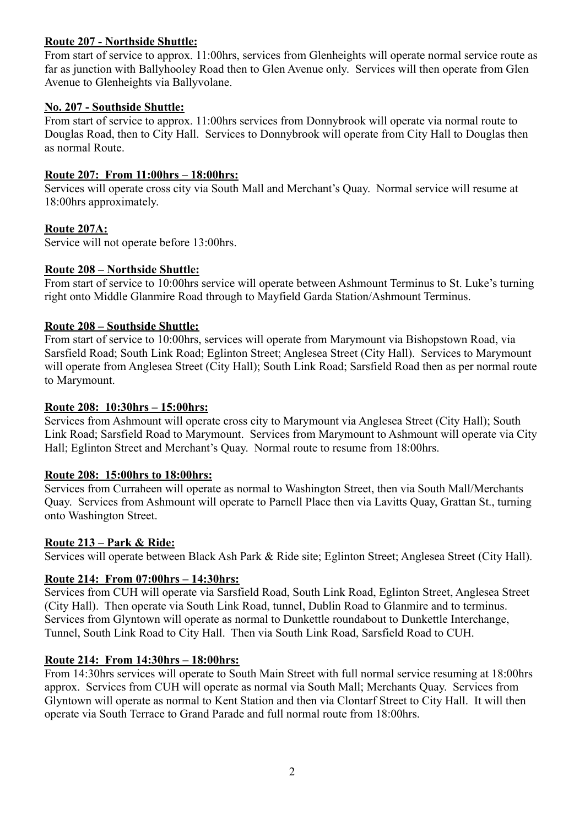# **Route 207 - Northside Shuttle:**

From start of service to approx. 11:00hrs, services from Glenheights will operate normal service route as far as junction with Ballyhooley Road then to Glen Avenue only. Services will then operate from Glen Avenue to Glenheights via Ballyvolane.

# **No. 207 - Southside Shuttle:**

From start of service to approx. 11:00hrs services from Donnybrook will operate via normal route to Douglas Road, then to City Hall. Services to Donnybrook will operate from City Hall to Douglas then as normal Route.

# **Route 207: From 11:00hrs – 18:00hrs:**

Services will operate cross city via South Mall and Merchant's Quay. Normal service will resume at 18:00hrs approximately.

# **Route 207A:**

Service will not operate before 13:00hrs.

# **Route 208 – Northside Shuttle:**

From start of service to 10:00hrs service will operate between Ashmount Terminus to St. Luke's turning right onto Middle Glanmire Road through to Mayfield Garda Station/Ashmount Terminus.

# **Route 208 – Southside Shuttle:**

From start of service to 10:00hrs, services will operate from Marymount via Bishopstown Road, via Sarsfield Road; South Link Road; Eglinton Street; Anglesea Street (City Hall). Services to Marymount will operate from Anglesea Street (City Hall); South Link Road; Sarsfield Road then as per normal route to Marymount.

#### **Route 208: 10:30hrs – 15:00hrs:**

Services from Ashmount will operate cross city to Marymount via Anglesea Street (City Hall); South Link Road; Sarsfield Road to Marymount. Services from Marymount to Ashmount will operate via City Hall; Eglinton Street and Merchant's Quay. Normal route to resume from 18:00hrs.

#### **Route 208: 15:00hrs to 18:00hrs:**

Services from Curraheen will operate as normal to Washington Street, then via South Mall/Merchants Quay. Services from Ashmount will operate to Parnell Place then via Lavitts Quay, Grattan St., turning onto Washington Street.

#### **Route 213 – Park & Ride:**

Services will operate between Black Ash Park & Ride site; Eglinton Street; Anglesea Street (City Hall).

#### **Route 214: From 07:00hrs – 14:30hrs:**

Services from CUH will operate via Sarsfield Road, South Link Road, Eglinton Street, Anglesea Street (City Hall). Then operate via South Link Road, tunnel, Dublin Road to Glanmire and to terminus. Services from Glyntown will operate as normal to Dunkettle roundabout to Dunkettle Interchange, Tunnel, South Link Road to City Hall. Then via South Link Road, Sarsfield Road to CUH.

#### **Route 214: From 14:30hrs – 18:00hrs:**

From 14:30hrs services will operate to South Main Street with full normal service resuming at 18:00hrs approx. Services from CUH will operate as normal via South Mall; Merchants Quay. Services from Glyntown will operate as normal to Kent Station and then via Clontarf Street to City Hall. It will then operate via South Terrace to Grand Parade and full normal route from 18:00hrs.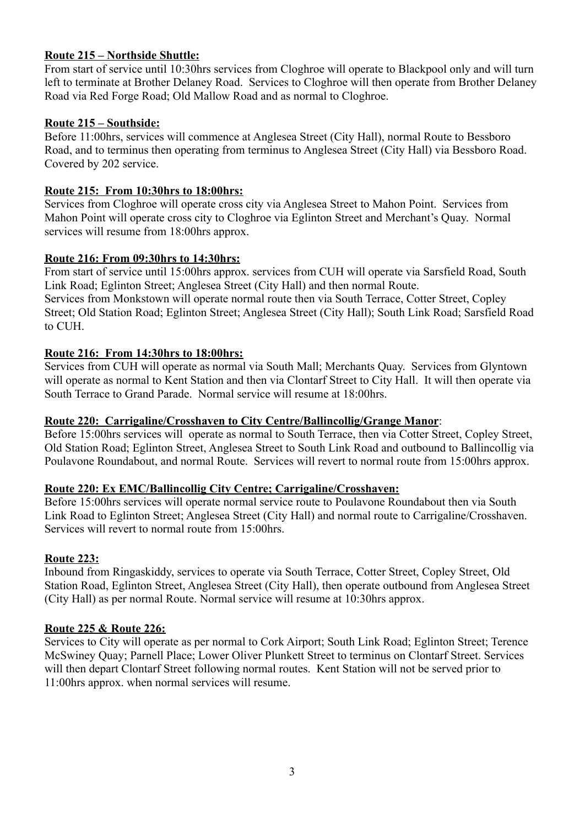# **Route 215 – Northside Shuttle:**

From start of service until 10:30hrs services from Cloghroe will operate to Blackpool only and will turn left to terminate at Brother Delaney Road. Services to Cloghroe will then operate from Brother Delaney Road via Red Forge Road; Old Mallow Road and as normal to Cloghroe.

# **Route 215 – Southside:**

Before 11:00hrs, services will commence at Anglesea Street (City Hall), normal Route to Bessboro Road, and to terminus then operating from terminus to Anglesea Street (City Hall) via Bessboro Road. Covered by 202 service.

# **Route 215: From 10:30hrs to 18:00hrs:**

Services from Cloghroe will operate cross city via Anglesea Street to Mahon Point. Services from Mahon Point will operate cross city to Cloghroe via Eglinton Street and Merchant's Quay. Normal services will resume from 18:00hrs approx.

#### **Route 216: From 09:30hrs to 14:30hrs:**

From start of service until 15:00hrs approx. services from CUH will operate via Sarsfield Road, South Link Road; Eglinton Street; Anglesea Street (City Hall) and then normal Route. Services from Monkstown will operate normal route then via South Terrace, Cotter Street, Copley Street; Old Station Road; Eglinton Street; Anglesea Street (City Hall); South Link Road; Sarsfield Road to CUH.

# **Route 216: From 14:30hrs to 18:00hrs:**

Services from CUH will operate as normal via South Mall; Merchants Quay. Services from Glyntown will operate as normal to Kent Station and then via Clontarf Street to City Hall. It will then operate via South Terrace to Grand Parade. Normal service will resume at 18:00hrs.

#### **Route 220: Carrigaline/Crosshaven to City Centre/Ballincollig/Grange Manor**:

Before 15:00hrs services will operate as normal to South Terrace, then via Cotter Street, Copley Street, Old Station Road; Eglinton Street, Anglesea Street to South Link Road and outbound to Ballincollig via Poulavone Roundabout, and normal Route. Services will revert to normal route from 15:00hrs approx.

# **Route 220: Ex EMC/Ballincollig City Centre; Carrigaline/Crosshaven:**

Before 15:00hrs services will operate normal service route to Poulavone Roundabout then via South Link Road to Eglinton Street; Anglesea Street (City Hall) and normal route to Carrigaline/Crosshaven. Services will revert to normal route from 15:00hrs.

#### **Route 223:**

Inbound from Ringaskiddy, services to operate via South Terrace, Cotter Street, Copley Street, Old Station Road, Eglinton Street, Anglesea Street (City Hall), then operate outbound from Anglesea Street (City Hall) as per normal Route. Normal service will resume at 10:30hrs approx.

#### **Route 225 & Route 226:**

Services to City will operate as per normal to Cork Airport; South Link Road; Eglinton Street; Terence McSwiney Quay; Parnell Place; Lower Oliver Plunkett Street to terminus on Clontarf Street. Services will then depart Clontarf Street following normal routes. Kent Station will not be served prior to 11:00hrs approx. when normal services will resume.